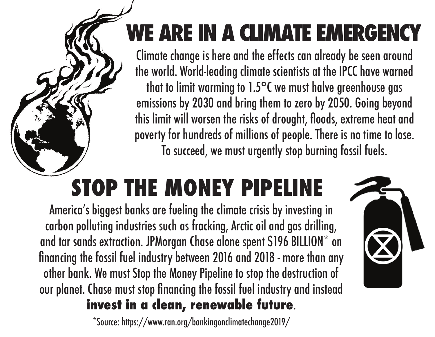## **WE ARE IN A CLIMATE EMERGENCY**

Climate change is here and the effects can already be seen around the world. World-leading climate scientists at the IPCC have warned that to limit warming to 1.5°C we must halve greenhouse gas emissions by 2030 and bring them to zero by 2050. Going beyond this limit will worsen the risks of drought, floods, extreme heat and poverty for hundreds of millions of people. There is no time to lose. To succeed, we must urgently stop burning fossil fuels.

## **STOP THE MONEY PIPELINE**

America's biggest banks are fueling the climate crisis by investing in carbon polluting industries such as fracking, Arctic oil and gas drilling, and tar sands extraction. JPMorgan Chase alone spent \$196 BILLION\* on financing the fossil fuel industry between 2016 and 2018 - more than any other bank. We must Stop the Money Pipeline to stop the destruction of our planet. Chase must stop financing the fossil fuel industry and instead **invest in a clean, renewable future**.

\*Source: https://www.ran.org/bankingonclimatechange2019/